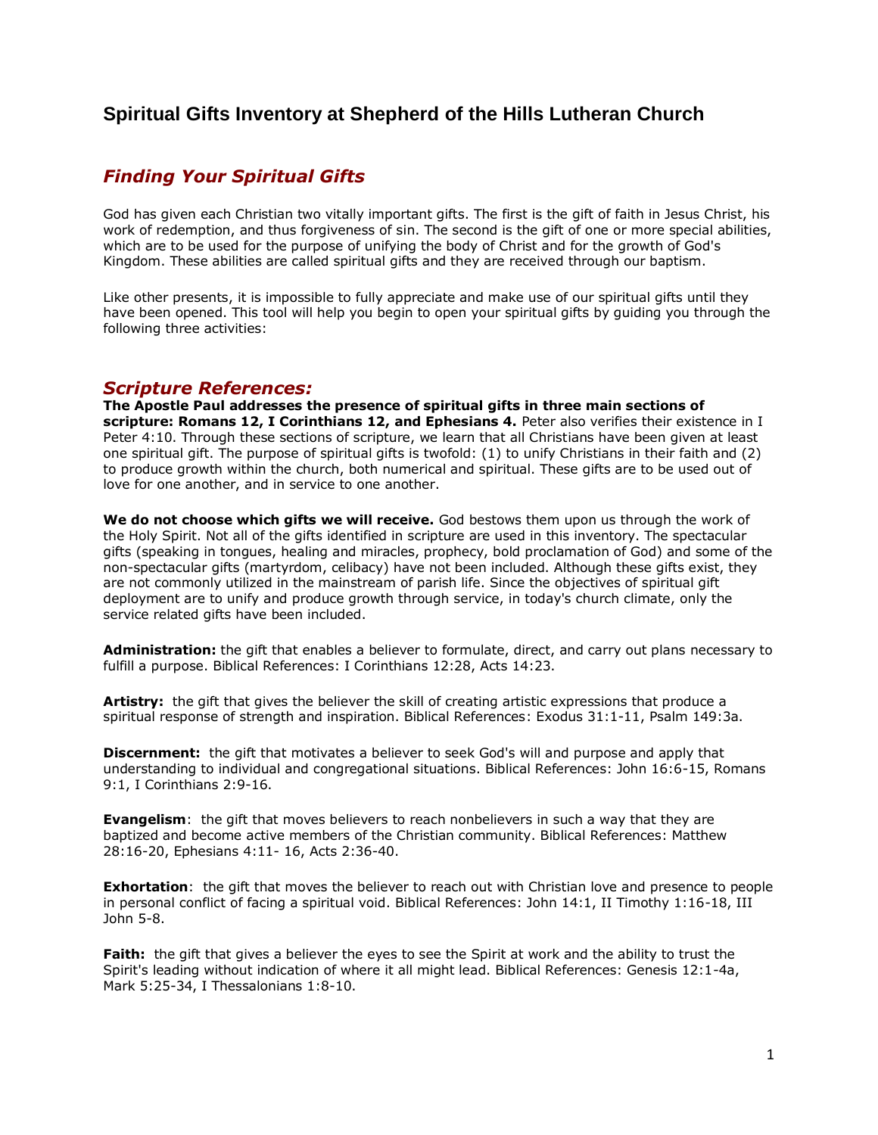# **Spiritual Gifts Inventory at Shepherd of the Hills Lutheran Church**

# *Finding Your Spiritual Gifts*

God has given each Christian two vitally important gifts. The first is the gift of faith in Jesus Christ, his work of redemption, and thus forgiveness of sin. The second is the gift of one or more special abilities, which are to be used for the purpose of unifying the body of Christ and for the growth of God's Kingdom. These abilities are called spiritual gifts and they are received through our baptism.

Like other presents, it is impossible to fully appreciate and make use of our spiritual gifts until they have been opened. This tool will help you begin to open your spiritual gifts by guiding you through the following three activities:

## *Scripture References:*

**The Apostle Paul addresses the presence of spiritual gifts in three main sections of scripture: Romans 12, I Corinthians 12, and Ephesians 4.** Peter also verifies their existence in I Peter 4:10. Through these sections of scripture, we learn that all Christians have been given at least one spiritual gift. The purpose of spiritual gifts is twofold: (1) to unify Christians in their faith and (2) to produce growth within the church, both numerical and spiritual. These gifts are to be used out of love for one another, and in service to one another.

**We do not choose which gifts we will receive.** God bestows them upon us through the work of the Holy Spirit. Not all of the gifts identified in scripture are used in this inventory. The spectacular gifts (speaking in tongues, healing and miracles, prophecy, bold proclamation of God) and some of the non-spectacular gifts (martyrdom, celibacy) have not been included. Although these gifts exist, they are not commonly utilized in the mainstream of parish life. Since the objectives of spiritual gift deployment are to unify and produce growth through service, in today's church climate, only the service related gifts have been included.

**Administration:** the gift that enables a believer to formulate, direct, and carry out plans necessary to fulfill a purpose. Biblical References: I Corinthians 12:28, Acts 14:23.

**Artistry:** the gift that gives the believer the skill of creating artistic expressions that produce a spiritual response of strength and inspiration. Biblical References: Exodus 31:1-11, Psalm 149:3a.

**Discernment:** the gift that motivates a believer to seek God's will and purpose and apply that understanding to individual and congregational situations. Biblical References: John 16:6-15, Romans 9:1, I Corinthians 2:9-16.

**Evangelism**: the gift that moves believers to reach nonbelievers in such a way that they are baptized and become active members of the Christian community. Biblical References: Matthew 28:16-20, Ephesians 4:11- 16, Acts 2:36-40.

**Exhortation**: the gift that moves the believer to reach out with Christian love and presence to people in personal conflict of facing a spiritual void. Biblical References: John 14:1, II Timothy 1:16-18, III John 5-8.

Faith: the gift that gives a believer the eyes to see the Spirit at work and the ability to trust the Spirit's leading without indication of where it all might lead. Biblical References: Genesis 12:1-4a, Mark 5:25-34, I Thessalonians 1:8-10.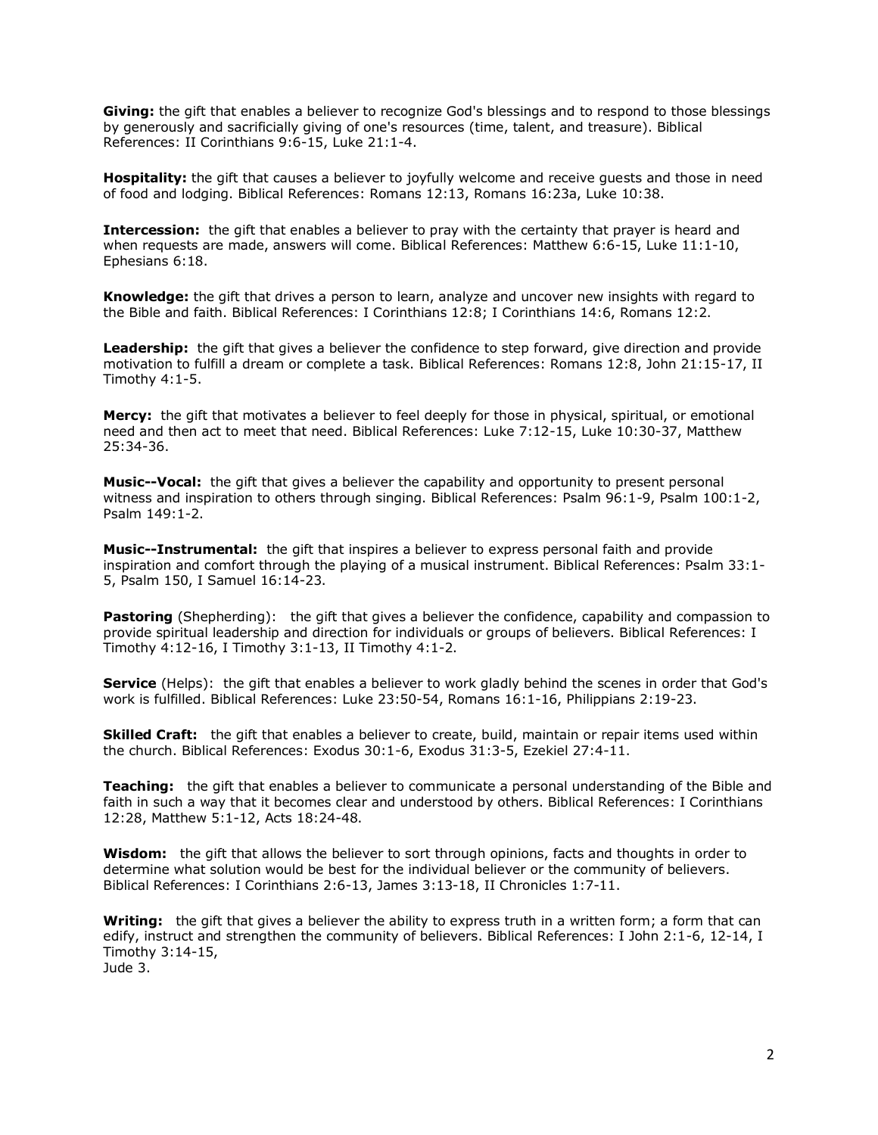**Giving:** the gift that enables a believer to recognize God's blessings and to respond to those blessings by generously and sacrificially giving of one's resources (time, talent, and treasure). Biblical References: II Corinthians 9:6-15, Luke 21:1-4.

**Hospitality:** the gift that causes a believer to joyfully welcome and receive guests and those in need of food and lodging. Biblical References: Romans 12:13, Romans 16:23a, Luke 10:38.

**Intercession:** the gift that enables a believer to pray with the certainty that prayer is heard and when requests are made, answers will come. Biblical References: Matthew 6:6-15, Luke 11:1-10, Ephesians 6:18.

**Knowledge:** the gift that drives a person to learn, analyze and uncover new insights with regard to the Bible and faith. Biblical References: I Corinthians 12:8; I Corinthians 14:6, Romans 12:2.

**Leadership:** the gift that gives a believer the confidence to step forward, give direction and provide motivation to fulfill a dream or complete a task. Biblical References: Romans 12:8, John 21:15-17, II Timothy 4:1-5.

**Mercy:** the gift that motivates a believer to feel deeply for those in physical, spiritual, or emotional need and then act to meet that need. Biblical References: Luke 7:12-15, Luke 10:30-37, Matthew 25:34-36.

**Music--Vocal:** the gift that gives a believer the capability and opportunity to present personal witness and inspiration to others through singing. Biblical References: Psalm 96:1-9, Psalm 100:1-2, Psalm 149:1-2.

**Music--Instrumental:** the gift that inspires a believer to express personal faith and provide inspiration and comfort through the playing of a musical instrument. Biblical References: Psalm 33:1- 5, Psalm 150, I Samuel 16:14-23.

**Pastoring** (Shepherding): the gift that gives a believer the confidence, capability and compassion to provide spiritual leadership and direction for individuals or groups of believers. Biblical References: I Timothy 4:12-16, I Timothy 3:1-13, II Timothy 4:1-2.

**Service** (Helps): the gift that enables a believer to work gladly behind the scenes in order that God's work is fulfilled. Biblical References: Luke 23:50-54, Romans 16:1-16, Philippians 2:19-23.

**Skilled Craft:** the gift that enables a believer to create, build, maintain or repair items used within the church. Biblical References: Exodus 30:1-6, Exodus 31:3-5, Ezekiel 27:4-11.

**Teaching:** the gift that enables a believer to communicate a personal understanding of the Bible and faith in such a way that it becomes clear and understood by others. Biblical References: I Corinthians 12:28, Matthew 5:1-12, Acts 18:24-48.

**Wisdom:** the gift that allows the believer to sort through opinions, facts and thoughts in order to determine what solution would be best for the individual believer or the community of believers. Biblical References: I Corinthians 2:6-13, James 3:13-18, II Chronicles 1:7-11.

**Writing:** the gift that gives a believer the ability to express truth in a written form; a form that can edify, instruct and strengthen the community of believers. Biblical References: I John 2:1-6, 12-14, I Timothy 3:14-15, Jude 3.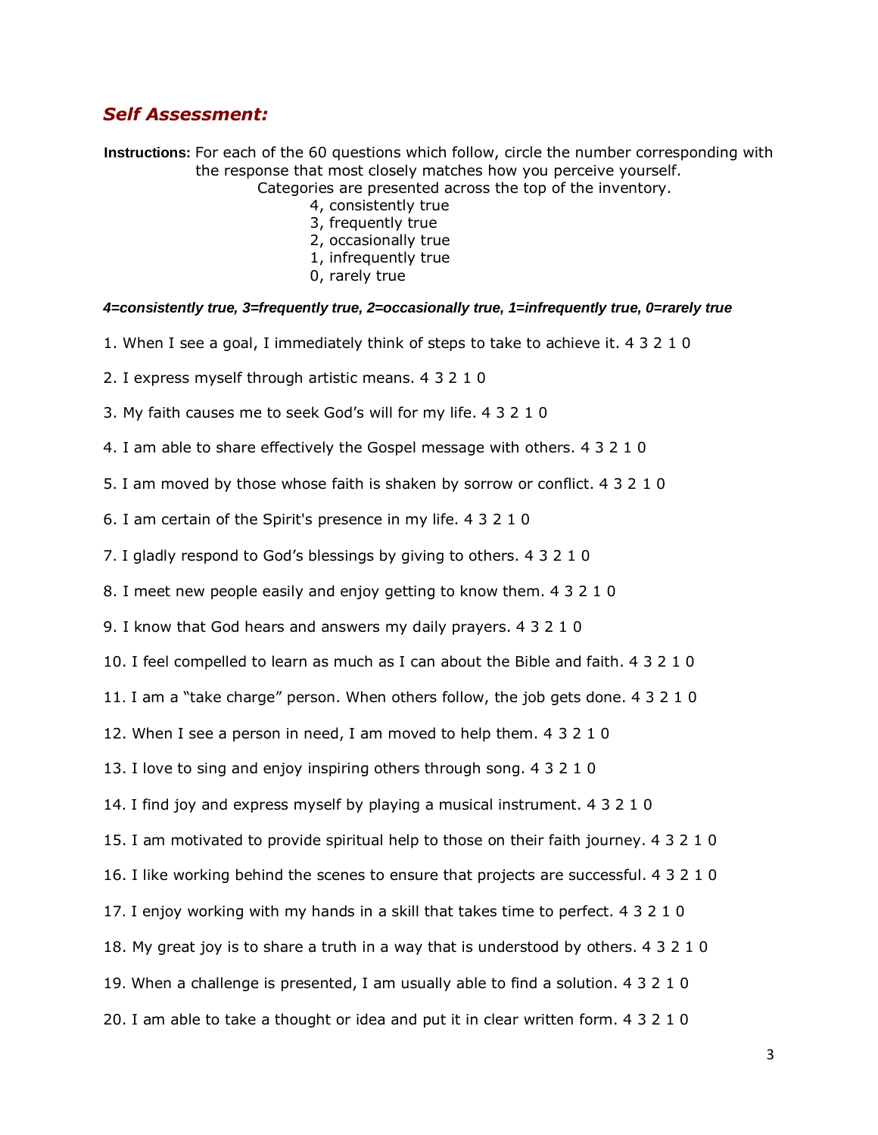# *Self Assessment:*

**Instructions:** For each of the 60 questions which follow, circle the number corresponding with the response that most closely matches how you perceive yourself.

Categories are presented across the top of the inventory.

- 4, consistently true
- 3, frequently true
- 2, occasionally true
- 1, infrequently true
- 0, rarely true

## *4=consistently true, 3=frequently true, 2=occasionally true, 1=infrequently true, 0=rarely true*

- 1. When I see a goal, I immediately think of steps to take to achieve it. 4 3 2 1 0
- 2. I express myself through artistic means. 4 3 2 1 0
- 3. My faith causes me to seek God's will for my life. 4 3 2 1 0
- 4. I am able to share effectively the Gospel message with others. 4 3 2 1 0
- 5. I am moved by those whose faith is shaken by sorrow or conflict. 4 3 2 1 0
- 6. I am certain of the Spirit's presence in my life. 4 3 2 1 0
- 7. I gladly respond to God's blessings by giving to others. 4 3 2 1 0
- 8. I meet new people easily and enjoy getting to know them. 4 3 2 1 0
- 9. I know that God hears and answers my daily prayers. 4 3 2 1 0
- 10. I feel compelled to learn as much as I can about the Bible and faith. 4 3 2 1 0
- 11. I am a "take charge" person. When others follow, the job gets done. 4 3 2 1 0
- 12. When I see a person in need, I am moved to help them. 4 3 2 1 0
- 13. I love to sing and enjoy inspiring others through song. 4 3 2 1 0
- 14. I find joy and express myself by playing a musical instrument. 4 3 2 1 0
- 15. I am motivated to provide spiritual help to those on their faith journey. 4 3 2 1 0
- 16. I like working behind the scenes to ensure that projects are successful. 4 3 2 1 0
- 17. I enjoy working with my hands in a skill that takes time to perfect. 4 3 2 1 0
- 18. My great joy is to share a truth in a way that is understood by others. 4 3 2 1 0
- 19. When a challenge is presented, I am usually able to find a solution. 4 3 2 1 0
- 20. I am able to take a thought or idea and put it in clear written form. 4 3 2 1 0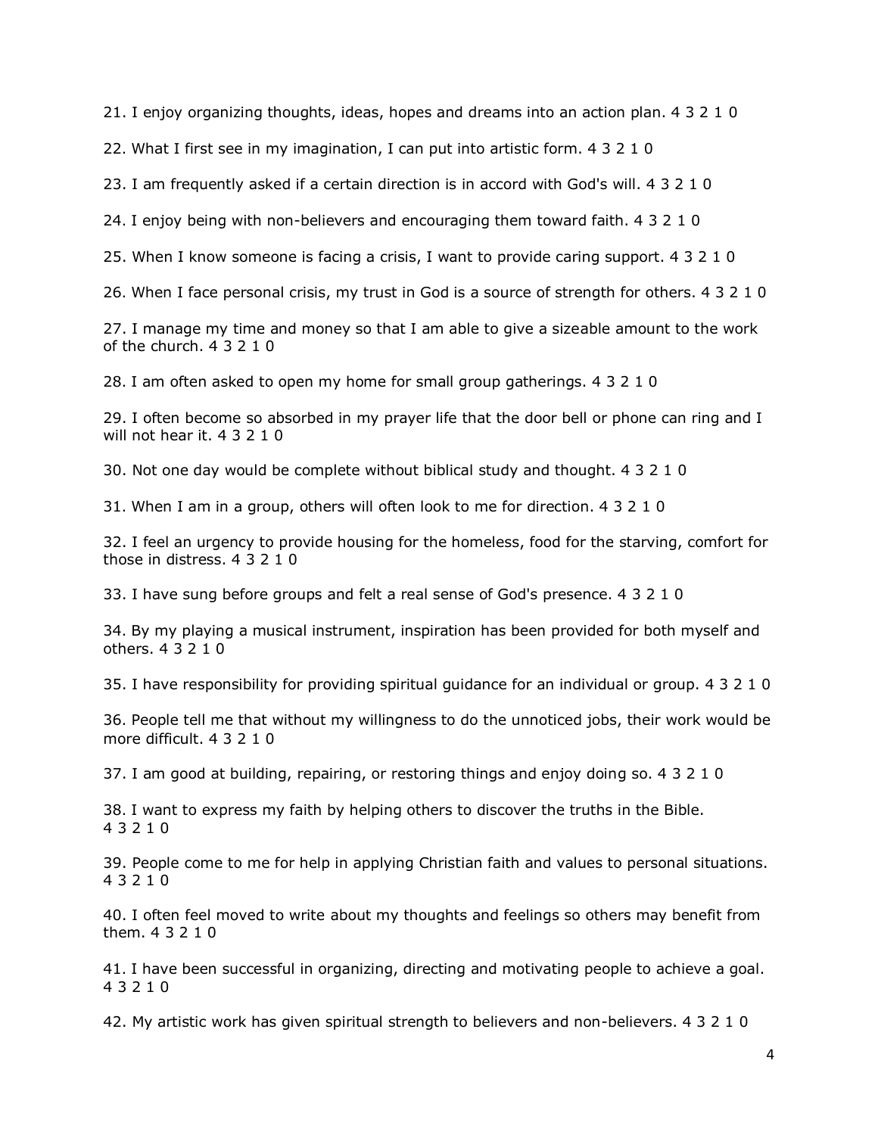21. I enjoy organizing thoughts, ideas, hopes and dreams into an action plan. 4 3 2 1 0

22. What I first see in my imagination, I can put into artistic form. 4 3 2 1 0

23. I am frequently asked if a certain direction is in accord with God's will. 4 3 2 1 0

24. I enjoy being with non-believers and encouraging them toward faith. 4 3 2 1 0

25. When I know someone is facing a crisis, I want to provide caring support. 4 3 2 1 0

26. When I face personal crisis, my trust in God is a source of strength for others. 4 3 2 1 0

27. I manage my time and money so that I am able to give a sizeable amount to the work of the church. 4 3 2 1 0

28. I am often asked to open my home for small group gatherings. 4 3 2 1 0

29. I often become so absorbed in my prayer life that the door bell or phone can ring and I will not hear it. 4 3 2 1 0

30. Not one day would be complete without biblical study and thought. 4 3 2 1 0

31. When I am in a group, others will often look to me for direction. 4 3 2 1 0

32. I feel an urgency to provide housing for the homeless, food for the starving, comfort for those in distress. 4 3 2 1 0

33. I have sung before groups and felt a real sense of God's presence. 4 3 2 1 0

34. By my playing a musical instrument, inspiration has been provided for both myself and others. 4 3 2 1 0

35. I have responsibility for providing spiritual guidance for an individual or group. 4 3 2 1 0

36. People tell me that without my willingness to do the unnoticed jobs, their work would be more difficult. 4 3 2 1 0

37. I am good at building, repairing, or restoring things and enjoy doing so. 4 3 2 1 0

38. I want to express my faith by helping others to discover the truths in the Bible. 4 3 2 1 0

39. People come to me for help in applying Christian faith and values to personal situations. 4 3 2 1 0

40. I often feel moved to write about my thoughts and feelings so others may benefit from them. 4 3 2 1 0

41. I have been successful in organizing, directing and motivating people to achieve a goal. 4 3 2 1 0

42. My artistic work has given spiritual strength to believers and non-believers. 4 3 2 1 0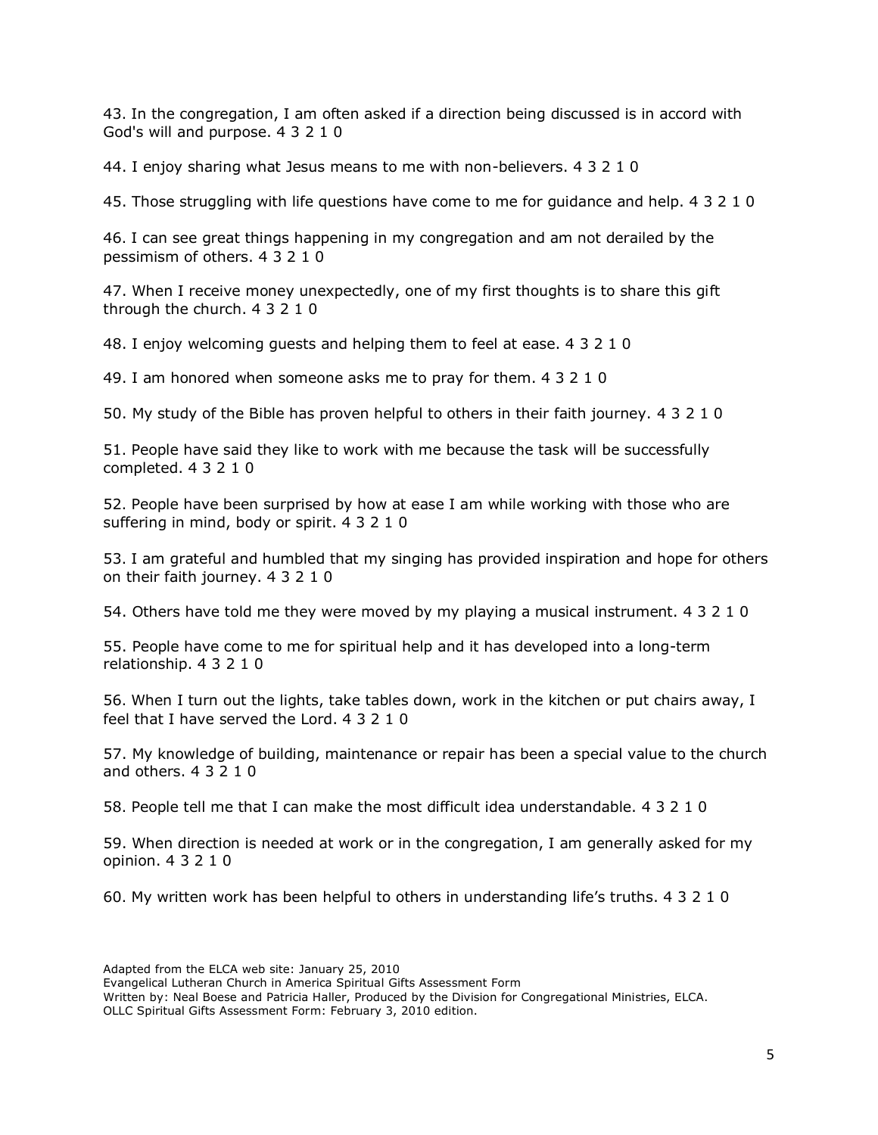43. In the congregation, I am often asked if a direction being discussed is in accord with God's will and purpose. 4 3 2 1 0

44. I enjoy sharing what Jesus means to me with non-believers. 4 3 2 1 0

45. Those struggling with life questions have come to me for guidance and help. 4 3 2 1 0

46. I can see great things happening in my congregation and am not derailed by the pessimism of others. 4 3 2 1 0

47. When I receive money unexpectedly, one of my first thoughts is to share this gift through the church. 4 3 2 1 0

48. I enjoy welcoming guests and helping them to feel at ease. 4 3 2 1 0

49. I am honored when someone asks me to pray for them. 4 3 2 1 0

50. My study of the Bible has proven helpful to others in their faith journey. 4 3 2 1 0

51. People have said they like to work with me because the task will be successfully completed. 4 3 2 1 0

52. People have been surprised by how at ease I am while working with those who are suffering in mind, body or spirit. 4 3 2 1 0

53. I am grateful and humbled that my singing has provided inspiration and hope for others on their faith journey. 4 3 2 1 0

54. Others have told me they were moved by my playing a musical instrument. 4 3 2 1 0

55. People have come to me for spiritual help and it has developed into a long-term relationship. 4 3 2 1 0

56. When I turn out the lights, take tables down, work in the kitchen or put chairs away, I feel that I have served the Lord. 4 3 2 1 0

57. My knowledge of building, maintenance or repair has been a special value to the church and others. 4 3 2 1 0

58. People tell me that I can make the most difficult idea understandable. 4 3 2 1 0

59. When direction is needed at work or in the congregation, I am generally asked for my opinion. 4 3 2 1 0

60. My written work has been helpful to others in understanding life's truths. 4 3 2 1 0

Adapted from the ELCA web site: January 25, 2010

Evangelical Lutheran Church in America Spiritual Gifts Assessment Form

Written by: Neal Boese and Patricia Haller, Produced by the Division for Congregational Ministries, ELCA. OLLC Spiritual Gifts Assessment Form: February 3, 2010 edition.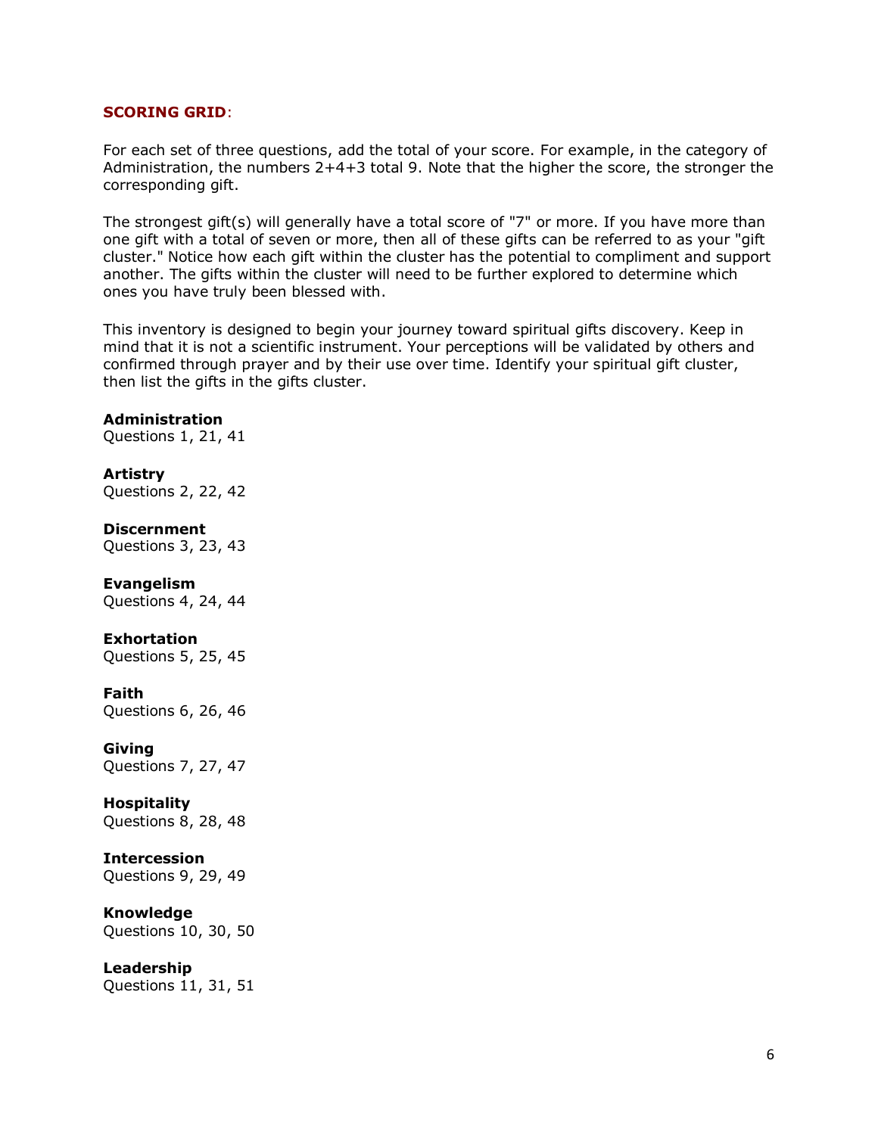#### **SCORING GRID**:

For each set of three questions, add the total of your score. For example, in the category of Administration, the numbers 2+4+3 total 9. Note that the higher the score, the stronger the corresponding gift.

The strongest gift(s) will generally have a total score of "7" or more. If you have more than one gift with a total of seven or more, then all of these gifts can be referred to as your "gift cluster." Notice how each gift within the cluster has the potential to compliment and support another. The gifts within the cluster will need to be further explored to determine which ones you have truly been blessed with.

This inventory is designed to begin your journey toward spiritual gifts discovery. Keep in mind that it is not a scientific instrument. Your perceptions will be validated by others and confirmed through prayer and by their use over time. Identify your spiritual gift cluster, then list the gifts in the gifts cluster.

#### **Administration**

Questions 1, 21, 41

#### **Artistry**

Questions 2, 22, 42

#### **Discernment**

Questions 3, 23, 43

#### **Evangelism**

Questions 4, 24, 44

## **Exhortation**

Questions 5, 25, 45

#### **Faith**

Questions 6, 26, 46

#### **Giving**

Questions 7, 27, 47

# **Hospitality**

Questions 8, 28, 48

#### **Intercession**

Questions 9, 29, 49

## **Knowledge**

Questions 10, 30, 50

#### **Leadership**

Questions 11, 31, 51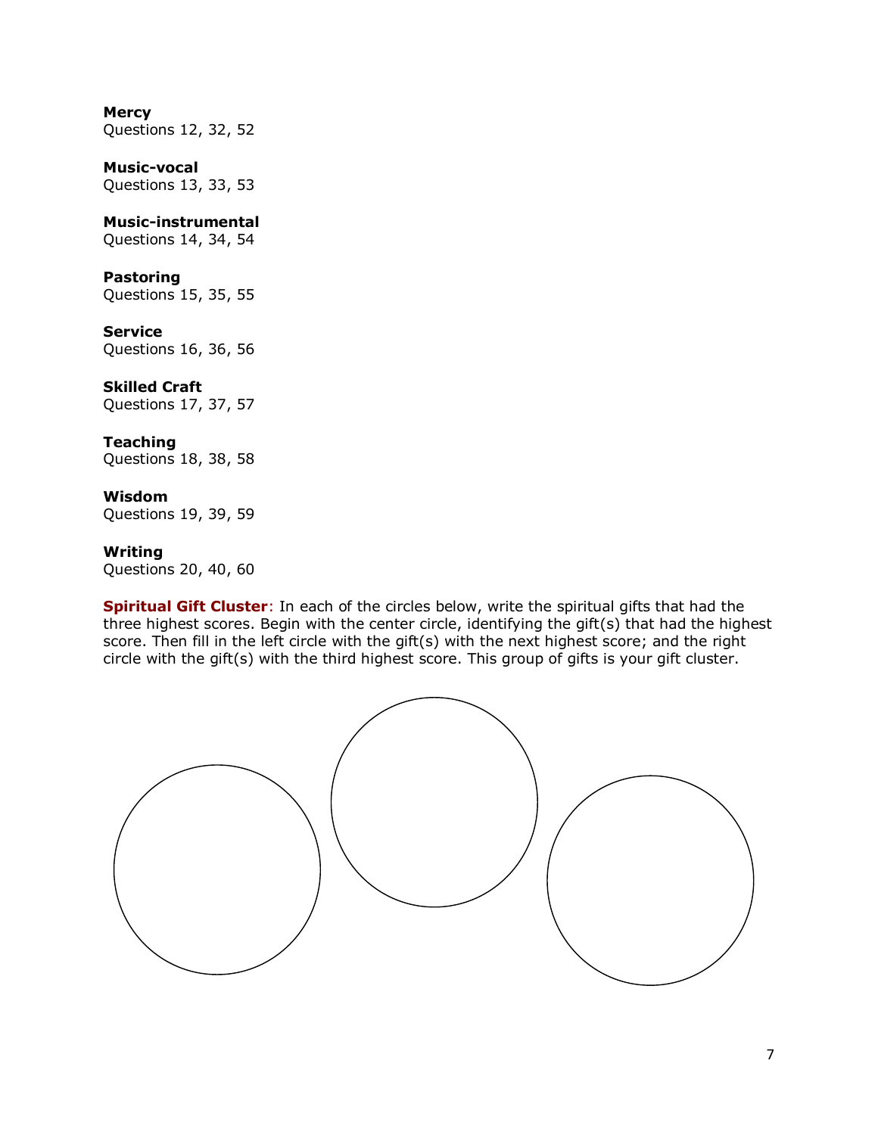## **Mercy**

Questions 12, 32, 52

## **Music-vocal**

Questions 13, 33, 53

## **Music-instrumental**

Questions 14, 34, 54

## **Pastoring**

Questions 15, 35, 55

#### **Service**

Questions 16, 36, 56

## **Skilled Craft**

Questions 17, 37, 57

## **Teaching**

Questions 18, 38, 58

#### **Wisdom**

Questions 19, 39, 59

#### **Writing**

Questions 20, 40, 60

**Spiritual Gift Cluster**: In each of the circles below, write the spiritual gifts that had the three highest scores. Begin with the center circle, identifying the gift(s) that had the highest score. Then fill in the left circle with the gift(s) with the next highest score; and the right circle with the gift(s) with the third highest score. This group of gifts is your gift cluster.

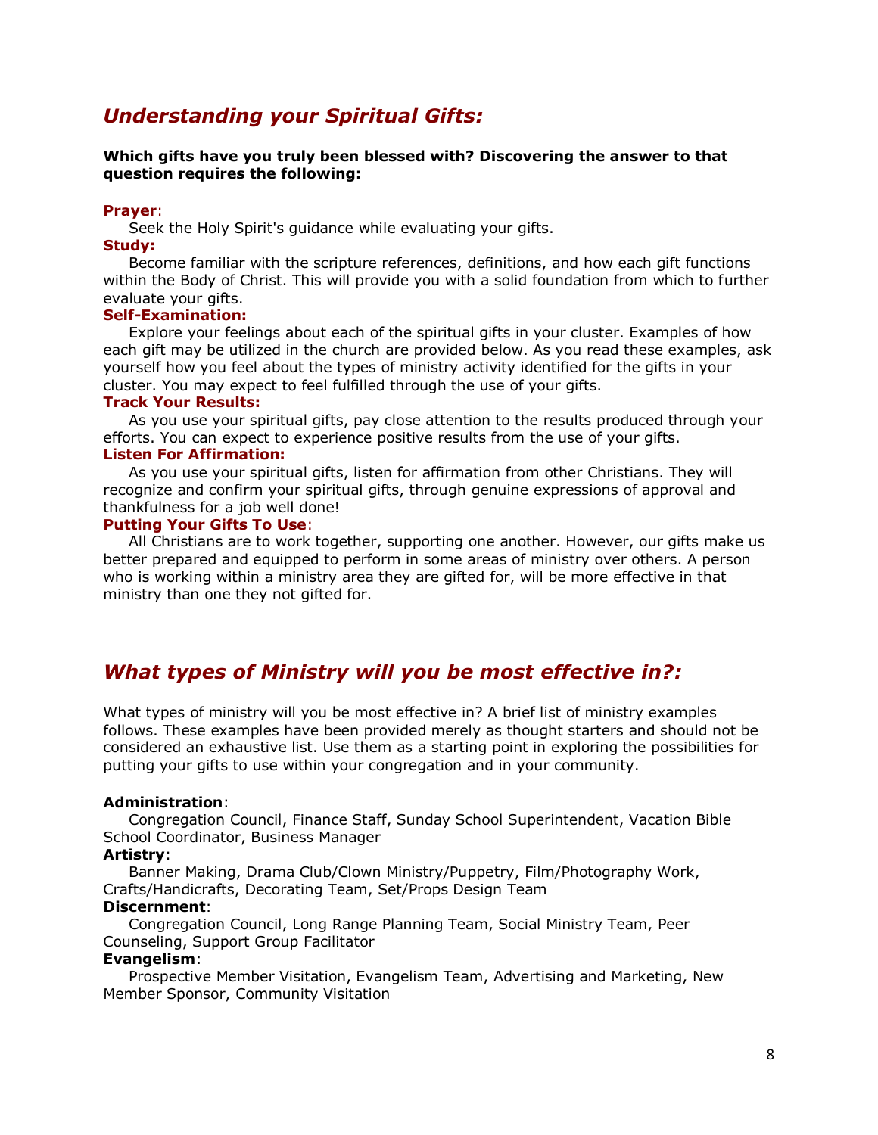# *Understanding your Spiritual Gifts:*

#### **Which gifts have you truly been blessed with? Discovering the answer to that question requires the following:**

#### **Prayer**:

Seek the Holy Spirit's guidance while evaluating your gifts.

#### **Study:**

 Become familiar with the scripture references, definitions, and how each gift functions within the Body of Christ. This will provide you with a solid foundation from which to further evaluate your gifts.

## **Self-Examination:**

 Explore your feelings about each of the spiritual gifts in your cluster. Examples of how each gift may be utilized in the church are provided below. As you read these examples, ask yourself how you feel about the types of ministry activity identified for the gifts in your cluster. You may expect to feel fulfilled through the use of your gifts.

## **Track Your Results:**

 As you use your spiritual gifts, pay close attention to the results produced through your efforts. You can expect to experience positive results from the use of your gifts.

## **Listen For Affirmation:**

 As you use your spiritual gifts, listen for affirmation from other Christians. They will recognize and confirm your spiritual gifts, through genuine expressions of approval and thankfulness for a job well done!

#### **Putting Your Gifts To Use**:

 All Christians are to work together, supporting one another. However, our gifts make us better prepared and equipped to perform in some areas of ministry over others. A person who is working within a ministry area they are gifted for, will be more effective in that ministry than one they not gifted for.

# *What types of Ministry will you be most effective in?:*

What types of ministry will you be most effective in? A brief list of ministry examples follows. These examples have been provided merely as thought starters and should not be considered an exhaustive list. Use them as a starting point in exploring the possibilities for putting your gifts to use within your congregation and in your community.

#### **Administration**:

 Congregation Council, Finance Staff, Sunday School Superintendent, Vacation Bible School Coordinator, Business Manager

#### **Artistry**:

 Banner Making, Drama Club/Clown Ministry/Puppetry, Film/Photography Work, Crafts/Handicrafts, Decorating Team, Set/Props Design Team

#### **Discernment**:

 Congregation Council, Long Range Planning Team, Social Ministry Team, Peer Counseling, Support Group Facilitator

#### **Evangelism**:

 Prospective Member Visitation, Evangelism Team, Advertising and Marketing, New Member Sponsor, Community Visitation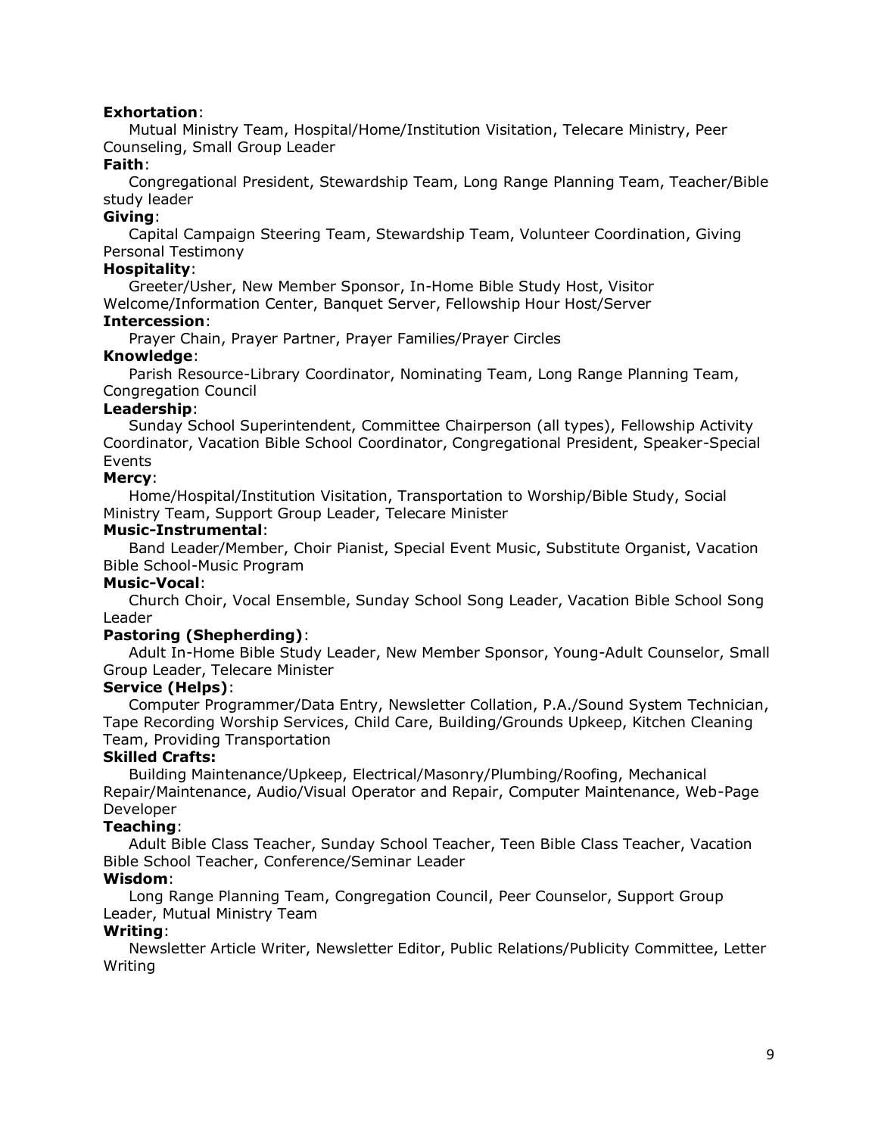## **Exhortation**:

 Mutual Ministry Team, Hospital/Home/Institution Visitation, Telecare Ministry, Peer Counseling, Small Group Leader

## **Faith**:

 Congregational President, Stewardship Team, Long Range Planning Team, Teacher/Bible study leader

## **Giving**:

 Capital Campaign Steering Team, Stewardship Team, Volunteer Coordination, Giving Personal Testimony

## **Hospitality**:

 Greeter/Usher, New Member Sponsor, In-Home Bible Study Host, Visitor Welcome/Information Center, Banquet Server, Fellowship Hour Host/Server

## **Intercession**:

Prayer Chain, Prayer Partner, Prayer Families/Prayer Circles

## **Knowledge**:

 Parish Resource-Library Coordinator, Nominating Team, Long Range Planning Team, Congregation Council

#### **Leadership**:

 Sunday School Superintendent, Committee Chairperson (all types), Fellowship Activity Coordinator, Vacation Bible School Coordinator, Congregational President, Speaker-Special Events

## **Mercy**:

 Home/Hospital/Institution Visitation, Transportation to Worship/Bible Study, Social Ministry Team, Support Group Leader, Telecare Minister

#### **Music-Instrumental**:

 Band Leader/Member, Choir Pianist, Special Event Music, Substitute Organist, Vacation Bible School-Music Program

#### **Music-Vocal**:

 Church Choir, Vocal Ensemble, Sunday School Song Leader, Vacation Bible School Song Leader

## **Pastoring (Shepherding)**:

 Adult In-Home Bible Study Leader, New Member Sponsor, Young-Adult Counselor, Small Group Leader, Telecare Minister

## **Service (Helps)**:

 Computer Programmer/Data Entry, Newsletter Collation, P.A./Sound System Technician, Tape Recording Worship Services, Child Care, Building/Grounds Upkeep, Kitchen Cleaning Team, Providing Transportation

## **Skilled Crafts:**

 Building Maintenance/Upkeep, Electrical/Masonry/Plumbing/Roofing, Mechanical Repair/Maintenance, Audio/Visual Operator and Repair, Computer Maintenance, Web-Page Developer

## **Teaching**:

 Adult Bible Class Teacher, Sunday School Teacher, Teen Bible Class Teacher, Vacation Bible School Teacher, Conference/Seminar Leader

## **Wisdom**:

 Long Range Planning Team, Congregation Council, Peer Counselor, Support Group Leader, Mutual Ministry Team

## **Writing**:

 Newsletter Article Writer, Newsletter Editor, Public Relations/Publicity Committee, Letter Writing